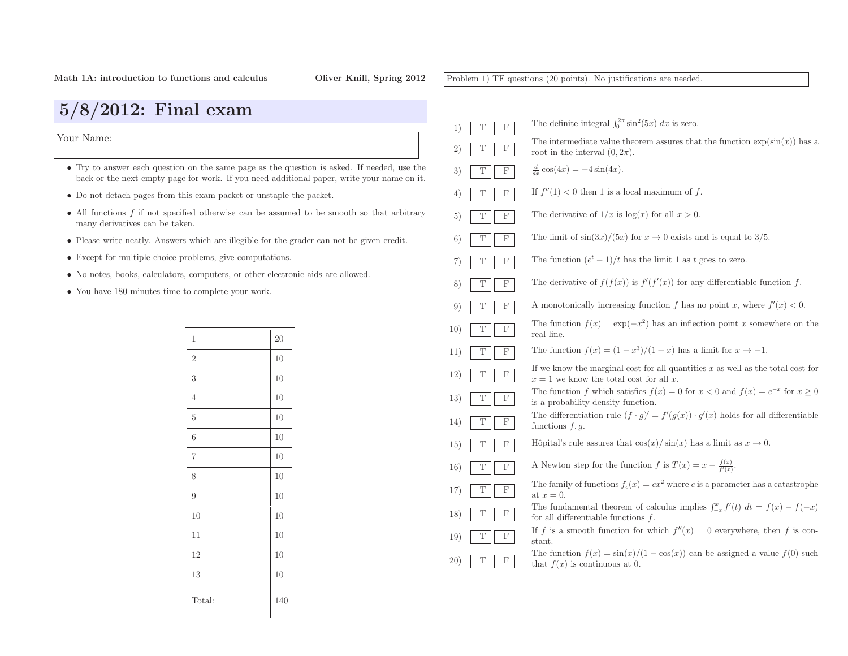Problem 1) TF questions (20 points). No justifications are needed.

| $5/8/2012$ : Final exam                                                                    |                |     |                                                                                                                                                                                           |
|--------------------------------------------------------------------------------------------|----------------|-----|-------------------------------------------------------------------------------------------------------------------------------------------------------------------------------------------|
| Your Name:                                                                                 |                |     |                                                                                                                                                                                           |
|                                                                                            |                |     | • Try to answer each question on the same page as the question is asked. If needed, use the<br>back or the next empty page for work. If you need additional paper, write your name on it. |
| • Do not detach pages from this exam packet or unstaple the packet.                        |                |     |                                                                                                                                                                                           |
| many derivatives can be taken.                                                             |                |     | • All functions $f$ if not specified otherwise can be assumed to be smooth so that arbitrary                                                                                              |
| • Please write neatly. Answers which are illegible for the grader can not be given credit. |                |     |                                                                                                                                                                                           |
| • Except for multiple choice problems, give computations.                                  |                |     |                                                                                                                                                                                           |
| • No notes, books, calculators, computers, or other electronic aids are allowed.           |                |     |                                                                                                                                                                                           |
| • You have 180 minutes time to complete your work.                                         |                |     |                                                                                                                                                                                           |
|                                                                                            |                |     |                                                                                                                                                                                           |
|                                                                                            |                |     |                                                                                                                                                                                           |
|                                                                                            | 1              | 20  |                                                                                                                                                                                           |
|                                                                                            | $\overline{2}$ | 10  |                                                                                                                                                                                           |
|                                                                                            | 3              | 10  |                                                                                                                                                                                           |
|                                                                                            | 4              | 10  |                                                                                                                                                                                           |
|                                                                                            | 5              | 10  |                                                                                                                                                                                           |
|                                                                                            | 6              | 10  |                                                                                                                                                                                           |
|                                                                                            | $\overline{7}$ | 10  |                                                                                                                                                                                           |
|                                                                                            | 8              | 10  |                                                                                                                                                                                           |
|                                                                                            | 9              | 10  |                                                                                                                                                                                           |
|                                                                                            | 10             | 10  |                                                                                                                                                                                           |
|                                                                                            | 11             | 10  |                                                                                                                                                                                           |
|                                                                                            | 12             | 10  |                                                                                                                                                                                           |
|                                                                                            | 13             | 10  |                                                                                                                                                                                           |
|                                                                                            | Total:         | 140 |                                                                                                                                                                                           |
|                                                                                            |                |     |                                                                                                                                                                                           |

| 1)  | $\mathbf F$<br>T               | The definite integral $\int_0^{2\pi} \sin^2(5x) dx$ is zero.                                                                   |
|-----|--------------------------------|--------------------------------------------------------------------------------------------------------------------------------|
| 2)  | T<br>$\boldsymbol{\mathrm{F}}$ | The intermediate value theorem assures that the function $\exp(\sin(x))$ has a<br>root in the interval $(0, 2\pi)$ .           |
| 3)  | T<br>F                         | $\frac{d}{dx}\cos(4x) = -4\sin(4x).$                                                                                           |
| 4)  | Τ<br>F                         | If $f''(1) < 0$ then 1 is a local maximum of f.                                                                                |
| 5)  | F<br>Τ                         | The derivative of $1/x$ is $\log(x)$ for all $x > 0$ .                                                                         |
| 6)  | T<br>$\mathbf F$               | The limit of $\sin(3x)/(5x)$ for $x \to 0$ exists and is equal to 3/5.                                                         |
| 7)  | F<br>Τ                         | The function $(e^t - 1)/t$ has the limit 1 as t goes to zero.                                                                  |
| 8)  | $\mathbf F$<br>T               | The derivative of $f(f(x))$ is $f'(f'(x))$ for any differentiable function f.                                                  |
| 9)  | Τ<br>F                         | A monotonically increasing function f has no point x, where $f'(x) < 0$ .                                                      |
| 10) | $\mathbf F$<br>T               | The function $f(x) = \exp(-x^2)$ has an inflection point x somewhere on the<br>real line.                                      |
| 11) | T<br>F                         | The function $f(x) = (1 - x^3)/(1 + x)$ has a limit for $x \to -1$ .                                                           |
| 12) | $\boldsymbol{\mathrm{F}}$<br>Τ | If we know the marginal cost for all quantities $x$ as well as the total cost for<br>$x = 1$ we know the total cost for all x. |
| 13) | T<br>F                         | The function f which satisfies $f(x) = 0$ for $x < 0$ and $f(x) = e^{-x}$ for $x \ge 0$<br>is a probability density function.  |
| 14) | $\boldsymbol{\mathrm{F}}$<br>Т | The differentiation rule $(f \cdot g)' = f'(g(x)) \cdot g'(x)$ holds for all differentiable<br>functions $f, g$ .              |
| 15) | Τ<br>F                         | Hôpital's rule assures that $\cos(x)/\sin(x)$ has a limit as $x \to 0$ .                                                       |
| 16) | Τ<br>F                         | A Newton step for the function f is $T(x) = x - \frac{f(x)}{f'(x)}$ .                                                          |
| 17) | $\mathbf F$<br>Т               | The family of functions $f_c(x) = cx^2$ where c is a parameter has a catastrophe<br>at $x=0$ .                                 |
| 18) | T<br>F                         | The fundamental theorem of calculus implies $\int_{-x}^{x} f'(t) dt = f(x) - f(-x)$<br>for all differentiable functions $f$ .  |
| 19) | Τ<br>F                         | If f is a smooth function for which $f''(x) = 0$ everywhere, then f is con-<br>stant.                                          |
| 20) | $\boldsymbol{\mathrm{F}}$<br>Τ | The function $f(x) = \frac{\sin(x)}{1 - \cos(x)}$ can be assigned a value $f(0)$ such<br>that $f(x)$ is continuous at 0.       |
|     |                                |                                                                                                                                |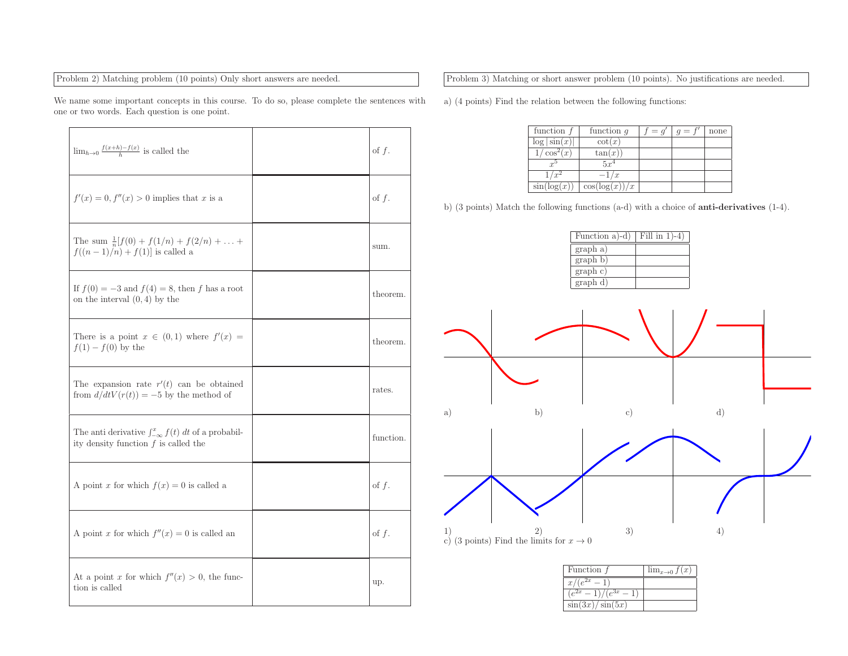## Problem 2) Matching problem (10 points) Only short answers are needed.

We name some important concepts in this course. To do so, <sup>p</sup>lease complete the sentences withone or two words. Each question is one point.

| $\lim_{h\to 0} \frac{f(x+h)-f(x)}{h}$ is called the                                                       | of $f$ .  |
|-----------------------------------------------------------------------------------------------------------|-----------|
| $f'(x) = 0, f''(x) > 0$ implies that x is a                                                               | of $f$ .  |
| The sum $\frac{1}{n}[f(0) + f(1/n) + f(2/n) + \dots +$<br>$f((n-1)/n) + f(1)$ is called a                 | sum.      |
| If $f(0) = -3$ and $f(4) = 8$ , then f has a root<br>on the interval $(0, 4)$ by the                      | theorem.  |
| There is a point $x \in (0,1)$ where $f'(x) =$<br>$f(1) - f(0)$ by the                                    | theorem.  |
| The expansion rate $r'(t)$ can be obtained<br>from $d/dtV(r(t)) = -5$ by the method of                    | rates.    |
| The anti derivative $\int_{-\infty}^{x} f(t) dt$ of a probabil-<br>ity density function $f$ is called the | function. |
| A point x for which $f(x) = 0$ is called a                                                                | of $f$ .  |
| A point x for which $f''(x) = 0$ is called an                                                             | of $f$ .  |
| At a point x for which $f''(x) > 0$ , the func-<br>tion is called                                         | up.       |

Problem 3) Matching or short answer problem (10 points). No justifications are needed.

a) (4 points) Find the relation between the following functions:

| function $f$    | function $q$      | $= q'$ | $q = f'$ | none |
|-----------------|-------------------|--------|----------|------|
| $\log \sin(x) $ | $\cot(x)$         |        |          |      |
| $\cos^2(x)$     | tan(x)            |        |          |      |
| r <sup>5</sup>  | $5x^4$            |        |          |      |
|                 | $-1/x$            |        |          |      |
| sin(log(x))     | $\cos(\log(x))/x$ |        |          |      |

b) (3 points) Match the following functions (a-d) with <sup>a</sup> choice of anti-derivatives (1-4).

| Function a)-d) | Fill in $1$ -4 |
|----------------|----------------|
| graph a)       |                |
| graph b)       |                |
| graph c)       |                |
| graph d)       |                |



| Function f            | $\lim_{x\to 0} f(x)$ |
|-----------------------|----------------------|
| $x/(e^{2x}$ .         |                      |
| $(e^{2x}-1)/(e^{3x})$ |                      |
| $\sin(3x)/\sin(5x)$   |                      |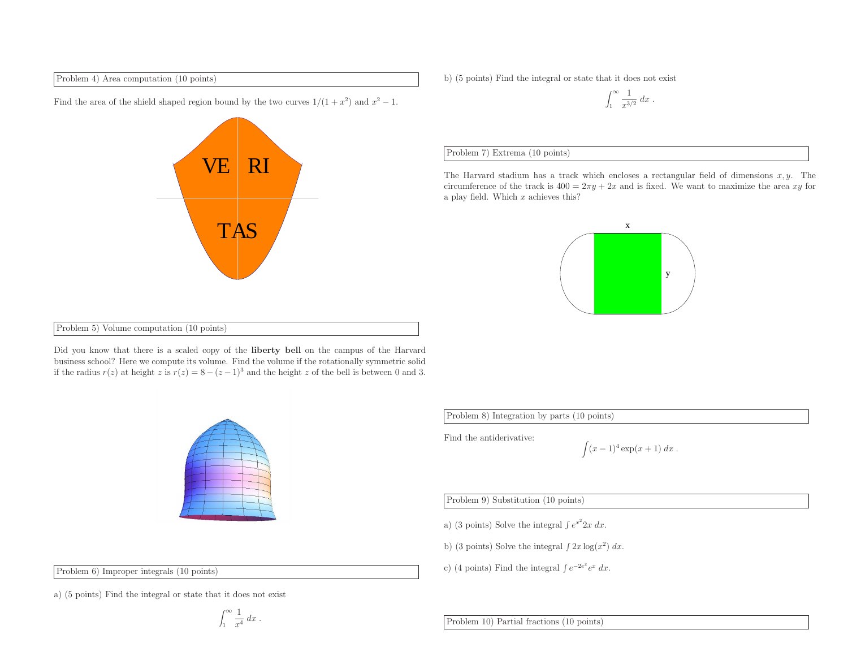Problem 4) Area computation (10 points)

**VE**  RI TAS

- Find the area of the shield shaped region bound by the two curves  $1/(1 + x^2)$  and  $x^2 1$ .
- b) (5 points) Find the integral or state that it does not exist

$$
\int_1^\infty \frac{1}{x^{3/2}} dx.
$$

## Problem 7) Extrema (10 points)

The Harvard stadium has a track which encloses a rectangular field of dimensions  $x, y$ . The circumference of the track is  $400 = 2\pi y + 2x$  and is fixed. We want to maximize the area xy for a play field. Which  $x$  achieves this?



Problem 5) Volume computation (10 points)

Did you know that there is <sup>a</sup> scaled copy of the liberty bell on the campus of the Harvard business school? Here we compute its volume. Find the volume if the rotationally symmetric solidif the radius  $r(z)$  at height z is  $r(z) = 8 - (z - 1)^3$  and the height z of the bell is between 0 and 3.



Problem 8) Integration by parts (10 points)

Find the antiderivative:

$$
\int (x-1)^4 \exp(x+1) \ dx \ .
$$

Problem 9) Substitution (10 points)

a) (3 points) Solve the integral  $\int e^{x^2} 2x \, dx$ .

b) (3 points) Solve the integral  $\int 2x \log(x^2) dx$ .

c) (4 points) Find the integral  $\int e^{-2e^x} e^x dx$ .

Problem 6) Improper integrals (10 points)

a) (5 points) Find the integral or state that it does not exist

$$
\int_1^\infty \frac{1}{x^4} \, dx \; .
$$

Problem 10) Partial fractions (10 points)